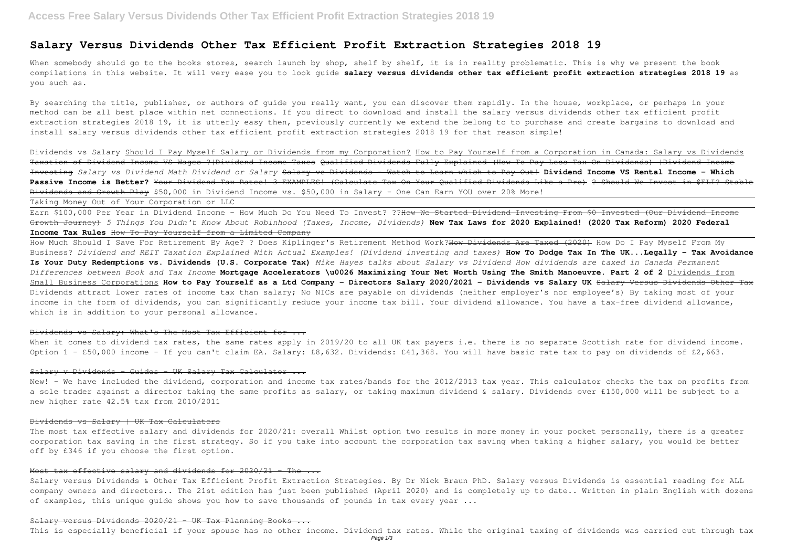# **Salary Versus Dividends Other Tax Efficient Profit Extraction Strategies 2018 19**

When somebody should go to the books stores, search launch by shop, shelf by shelf, it is in reality problematic. This is why we present the book compilations in this website. It will very ease you to look guide **salary versus dividends other tax efficient profit extraction strategies 2018 19** as you such as.

By searching the title, publisher, or authors of quide you really want, you can discover them rapidly. In the house, workplace, or perhaps in your method can be all best place within net connections. If you direct to download and install the salary versus dividends other tax efficient profit extraction strategies 2018 19, it is utterly easy then, previously currently we extend the belong to to purchase and create bargains to download and install salary versus dividends other tax efficient profit extraction strategies 2018 19 for that reason simple!

Dividends vs Salary Should I Pay Myself Salary or Dividends from my Corporation? How to Pay Yourself from a Corporation in Canada: Salary vs Dividends Taxation of Dividend Income VS Wages ?|Dividend Income Taxes Qualified Dividends Fully Explained (How To Pay Less Tax On Dividends) |Dividend Income Investing *Salary vs Dividend Math Dividend or Salary* Salary vs Dividends - Watch to Learn which to Pay Out! **Dividend Income VS Rental Income - Which Passive Income is Better?** Your Dividend Tax Rates! 3 EXAMPLES! (Calculate Tax On Your Qualified Dividends Like a Pro) ? Should We Invest in \$FLI? Stable Dividends and Growth Play \$50,000 in Dividend Income vs. \$50,000 in Salary - One Can Earn YOU over 20% More!

Earn \$100,000 Per Year in Dividend Income - How Much Do You Need To Invest? ?? How We Started Dividend Investing From \$0 Invested (Our Dividend Income Growth Journey) *5 Things You Didn't Know About Robinhood (Taxes, Income, Dividends)* **New Tax Laws for 2020 Explained! (2020 Tax Reform) 2020 Federal Income Tax Rules** How To Pay Yourself from a Limited Company

How Much Should I Save For Retirement By Age? ? Does Kiplinger's Retirement Method Work?<del>How Dividends Are Taxed (2020)</del> How Do I Pay Myself From My Business? *Dividend and REIT Taxation Explained With Actual Examples! (Dividend investing and taxes)* **How To Dodge Tax In The UK...Legally - Tax Avoidance Is Your Duty Redemptions vs. Dividends (U.S. Corporate Tax)** *Mike Hayes talks about Salary vs Dividend How dividends are taxed in Canada Permanent Differences between Book and Tax Income* **Mortgage Accelerators \u0026 Maximizing Your Net Worth Using The Smith Manoeuvre. Part 2 of 2** Dividends from Small Business Corporations **How to Pay Yourself as a Ltd Company - Directors Salary 2020/2021 - Dividends vs Salary UK** Salary Versus Dividends Other Tax Dividends attract lower rates of income tax than salary; No NICs are payable on dividends (neither employer's nor employee's) By taking most of your income in the form of dividends, you can significantly reduce your income tax bill. Your dividend allowance. You have a tax-free dividend allowance, which is in addition to your personal allowance.

Taking Money Out of Your Corporation or LLC

New! - We have included the dividend, corporation and income tax rates/bands for the 2012/2013 tax year. This calculator checks the tax on profits from a sole trader against a director taking the same profits as salary, or taking maximum dividend & salary. Dividends over £150,000 will be subject to a new higher rate 42.5% tax from 2010/2011

The most tax effective salary and dividends for 2020/21: overall Whilst option two results in more money in your pocket personally, there is a greater corporation tax saving in the first strategy. So if you take into account the corporation tax saving when taking a higher salary, you would be better off by £346 if you choose the first option.

# Most tax effective salary and dividends for 2020/21 - The ...

Salary versus Dividends & Other Tax Efficient Profit Extraction Strategies. By Dr Nick Braun PhD. Salary versus Dividends is essential reading for ALL company owners and directors.. The 21st edition has just been published (April 2020) and is completely up to date.. Written in plain English with dozens of examples, this unique guide shows you how to save thousands of pounds in tax every year ...

#### Salary versus Dividends 2020/21 - UK Tax Planning Books ...

#### Dividends vs Salary: What's The Most Tax Efficient for ...

When it comes to dividend tax rates, the same rates apply in 2019/20 to all UK tax payers i.e. there is no separate Scottish rate for dividend income. Option 1 - £50,000 income - If you can't claim EA. Salary: £8,632. Dividends: £41,368. You will have basic rate tax to pay on dividends of £2,663.

## Salary v Dividends - Guides - UK Salary Tax Calculator ...

#### Dividends vs Salary | UK Tax Calculators

This is especially beneficial if your spouse has no other income. Dividend tax rates. While the original taxing of dividends was carried out through tax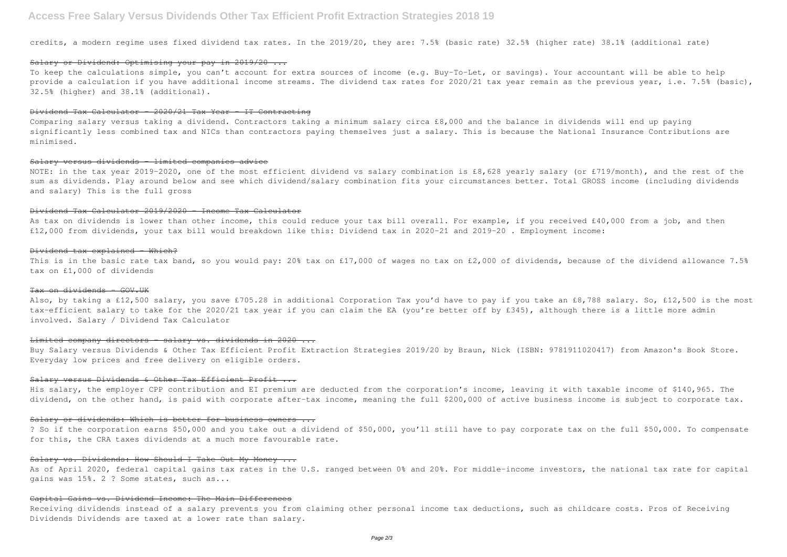# **Access Free Salary Versus Dividends Other Tax Efficient Profit Extraction Strategies 2018 19**

credits, a modern regime uses fixed dividend tax rates. In the 2019/20, they are: 7.5% (basic rate) 32.5% (higher rate) 38.1% (additional rate)

# Salary or Dividend: Optimising your pay in 2019/20 ...

To keep the calculations simple, you can't account for extra sources of income (e.g. Buy-To-Let, or savings). Your accountant will be able to help provide a calculation if you have additional income streams. The dividend tax rates for 2020/21 tax year remain as the previous year, i.e. 7.5% (basic), 32.5% (higher) and 38.1% (additional).

# $Dividend$  Tax Calculator - 2020/21 Tax Year - IT Contracting

Comparing salary versus taking a dividend. Contractors taking a minimum salary circa £8,000 and the balance in dividends will end up paying significantly less combined tax and NICs than contractors paying themselves just a salary. This is because the National Insurance Contributions are minimised.

As tax on dividends is lower than other income, this could reduce your tax bill overall. For example, if you received £40,000 from a job, and then £12,000 from dividends, your tax bill would breakdown like this: Dividend tax in 2020-21 and 2019-20 . Employment income:

This is in the basic rate tax band, so you would pay: 20% tax on £17,000 of wages no tax on £2,000 of dividends, because of the dividend allowance 7.5% tax on £1,000 of dividends

#### Tax on dividends - GOV.UK

#### Salary versus dividends – limited companies advice

NOTE: in the tax year 2019-2020, one of the most efficient dividend vs salary combination is £8,628 yearly salary (or £719/month), and the rest of the sum as dividends. Play around below and see which dividend/salary combination fits your circumstances better. Total GROSS income (including dividends and salary) This is the full gross

#### Dividend Tax Calculator 2019/2020 - Income Tax Calculator

#### Dividend tax explained - Which?

Also, by taking a £12,500 salary, you save £705.28 in additional Corporation Tax you'd have to pay if you take an £8,788 salary. So, £12,500 is the most tax-efficient salary to take for the 2020/21 tax year if you can claim the EA (you're better off by £345), although there is a little more admin involved. Salary / Dividend Tax Calculator

#### Limited company directors - salary vs. dividends in 2020 ...

Buy Salary versus Dividends & Other Tax Efficient Profit Extraction Strategies 2019/20 by Braun, Nick (ISBN: 9781911020417) from Amazon's Book Store. Everyday low prices and free delivery on eligible orders.

# Salary versus Dividends & Other Tax Efficient Profit ...

His salary, the employer CPP contribution and EI premium are deducted from the corporation's income, leaving it with taxable income of \$140,965. The dividend, on the other hand, is paid with corporate after-tax income, meaning the full \$200,000 of active business income is subject to corporate tax.

#### Salary or dividends: Which is better for business owners ...

? So if the corporation earns \$50,000 and you take out a dividend of \$50,000, you'll still have to pay corporate tax on the full \$50,000. To compensate for this, the CRA taxes dividends at a much more favourable rate.

# Salary vs. Dividends: How Should I Take Out My Money ...

As of April 2020, federal capital gains tax rates in the U.S. ranged between 0% and 20%. For middle-income investors, the national tax rate for capital gains was 15%. 2 ? Some states, such as...

#### Capital Gains vs. Dividend Income: The Main Differences

Receiving dividends instead of a salary prevents you from claiming other personal income tax deductions, such as childcare costs. Pros of Receiving Dividends Dividends are taxed at a lower rate than salary.